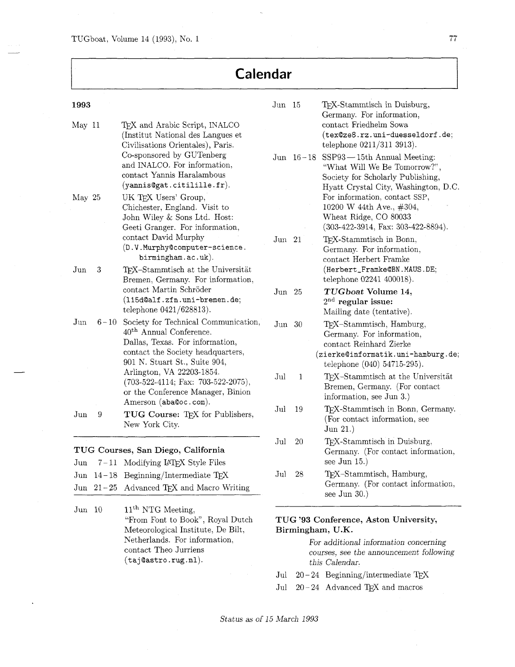TUGboat, Volume 14 (1993), No. 1 77

## **Calendar**

| 1993                 |          |                                                                                                                                                                                      | Jun 15                                                                                                                                        |             | TEX-Stammtisch in Duisburg,<br>Germany. For information,                                                                                              |  |
|----------------------|----------|--------------------------------------------------------------------------------------------------------------------------------------------------------------------------------------|-----------------------------------------------------------------------------------------------------------------------------------------------|-------------|-------------------------------------------------------------------------------------------------------------------------------------------------------|--|
| May 11               |          | TEX and Arabic Script, INALCO<br>(Institut National des Langues et<br>Civilisations Orientales), Paris.<br>Co-sponsored by GUTenberg<br>and INALCO. For information,                 |                                                                                                                                               | Jun $16-18$ | contact Friedhelm Sowa<br>(tex@ze8.rz.uni-duesseldorf.de;<br>telephone 0211/311 3913).<br>$SSP93 - 15th$ Annual Meeting:                              |  |
|                      |          | contact Yannis Haralambous<br>(yannis@gat.citilille.fr).                                                                                                                             |                                                                                                                                               |             | "What Will We Be Tomorrow?",<br>Society for Scholarly Publishing,<br>Hyatt Crystal City, Washington, D.C.                                             |  |
| May 25               |          | UK TEX Users' Group,<br>Chichester, England. Visit to<br>John Wiley & Sons Ltd. Host:<br>Geeti Granger. For information,                                                             |                                                                                                                                               |             | For information, contact SSP,<br>10200 W 44th Ave., #304,<br>Wheat Ridge, CO 80033<br>$(303-422-3914, \text{ Fax: } 303-422-8894).$                   |  |
|                      |          | contact David Murphy<br>(D.V.Murphy@computer-science.<br>birmingham.ac.uk).                                                                                                          | Jun 21                                                                                                                                        |             | TEX-Stammtisch in Bonn,<br>Germany. For information,<br>contact Herbert Framke                                                                        |  |
| Jun                  | 3        | TEX-Stammtisch at the Universität<br>Bremen, Germany. For information,                                                                                                               |                                                                                                                                               |             | (Herbert_Framke@BN.MAUS.DE;<br>telephone 02241 400018).                                                                                               |  |
|                      |          | contact Martin Schröder<br>(115d@alf.zfn.uni-bremen.de;<br>telephone 0421/628813).                                                                                                   | Jun $25$                                                                                                                                      |             | TUGboat Volume 14,<br>$2nd$ regular issue:<br>Mailing date (tentative).                                                                               |  |
| $_{\text{Jun}}$      | $6 - 10$ | Society for Technical Communication,<br>40 <sup>th</sup> Annual Conference.<br>Dallas, Texas. For information,<br>contact the Society headquarters,<br>901 N. Stuart St., Suite 904, | Jun 30                                                                                                                                        |             | TEX-Stammtisch, Hamburg,<br>Germany. For information,<br>contact Reinhard Zierke<br>(zierke@informatik.uni-hamburg.de;<br>telephone (040) 54715-295). |  |
|                      |          | Arlington, VA 22203-1854.<br>$(703-522-4114; \text{ Fax: } 703-522-2075),$<br>or the Conference Manager, Binion<br>Amerson (aba@oc.com).                                             | Jul                                                                                                                                           | 1           | TEX-Stammtisch at the Universität<br>Bremen, Germany. (For contact<br>information, see Jun 3.)                                                        |  |
| Jun                  | 9        | TUG Course: TEX for Publishers,<br>New York City.                                                                                                                                    | Jul                                                                                                                                           | 19          | TEX-Stammtisch in Bonn, Germany.<br>(For contact information, see<br>Jun $21.$ )                                                                      |  |
| Jun                  |          | TUG Courses, San Diego, California<br>7-11 Modifying IATEX Style Files                                                                                                               | $_{\mathrm{Jul}}$                                                                                                                             | 20          | TEX-Stammtisch in Duisburg,<br>Germany. (For contact information,<br>see Jun $15.$ )                                                                  |  |
| $_{\rm Jun}$         |          | $14-18$ Beginning/Intermediate T <sub>E</sub> X                                                                                                                                      | Jul                                                                                                                                           | 28          | TEX-Stammtisch, Hamburg,                                                                                                                              |  |
|                      |          | Jun 21-25 Advanced TEX and Macro Writing                                                                                                                                             |                                                                                                                                               |             | Germany. (For contact information,<br>see Jun $30.$ )                                                                                                 |  |
| $_{\mathrm{Jun}}$ 10 |          | $11th$ NTG Meeting,<br>"From Font to Book", Royal Dutch<br>Meteorological Institute, De Bilt,<br>Netherlands. For information,<br>contact Theo Jurriens                              | TUG '93 Conference, Aston University,<br>Birmingham, U.K.<br>For additional information concerning<br>courses, see the announcement following |             |                                                                                                                                                       |  |

(taj@astro.rug.nl). this Calendar.

Jul  $20-24$  Beginning/intermediate TEX

Jul  $\,$  20–24  $\,$  Advanced TEX and macros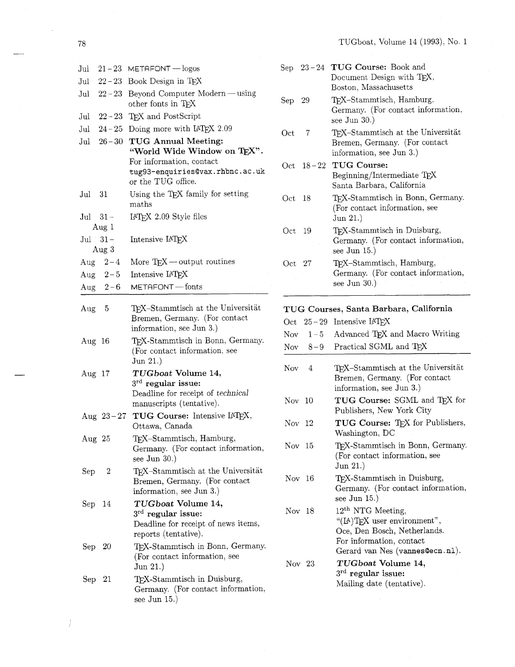| Jul         |                               | $21 - 23$ METAFONT - logos                                                                                            |
|-------------|-------------------------------|-----------------------------------------------------------------------------------------------------------------------|
| Jul         |                               | $22 - 23$ Book Design in TEX                                                                                          |
| Jul         | $22 - 23$                     | Beyond Computer Modern — using<br>other fonts in TEX                                                                  |
| Jul         |                               | $22 - 23$ TFX and PostScript                                                                                          |
| Jul         | $24 - 25$                     | Doing more with LAT <sub>E</sub> X 2.09                                                                               |
| Jul         | $26 - 30$                     | <b>TUG Annual Meeting:</b><br>"World Wide Window on TEX".                                                             |
|             |                               | For information, contact<br>tug93-enquiries@vax.rhbnc.ac.uk<br>or the TUG office.                                     |
| Jul         | - 31                          | Using the TEX family for setting<br>maths                                                                             |
| Jul         | $31 -$<br>Aug $1$             | IATEX 2.09 Style files                                                                                                |
|             | $\mathrm{Jul}$ $31-$<br>Aug 3 | Intensive IATEX                                                                                                       |
|             | Aug $2-4$                     | More $T_{E}X$ — output routines                                                                                       |
|             | Aug $2-5$                     | Intensive IATFX                                                                                                       |
|             | Aug $2-6$                     | METAFONT - fonts                                                                                                      |
| Aug         | - 5                           | T <sub>F</sub> X-Stammtisch at the Universität<br>Bremen, Germany. (For contact<br>information, see Jun 3.)           |
| Aug         | 16                            | TEX-Stammtisch in Bonn, Germany.<br>(For contact information, see<br>Jun 21.)                                         |
| Aug $17$    |                               | TUGboat Volume 14,<br>$3^{\text{rd}}$ regular issue:<br>Deadline for receipt of technical<br>manuscripts (tentative). |
|             |                               | Aug 23-27 TUG Course: Intensive IATEX,<br>Ottawa, Canada                                                              |
| Aug 25      |                               | TEX-Stammtisch, Hamburg,<br>Germany. (For contact information,<br>see Jun $30.$ )                                     |
| Sep         | 2                             | T <sub>F</sub> X-Stammtisch at the Universität<br>Bremen, Germany. (For contact<br>information, see Jun 3.)           |
| Sep         | 14                            | TUGboat Volume 14,<br>$3^{\text{rd}}$ regular issue:<br>Deadline for receipt of news items,<br>reports (tentative).   |
| Sep         | 20                            | TEX-Stammtisch in Bonn, Germany.<br>(For contact information, see<br>Jun 21.)                                         |
| ${\rm Sep}$ | 21                            | TEX-Stammtisch in Duisburg,<br>Germany. (For contact information,<br>see Jun $15.$ )                                  |

- Sep 23-24 TUG Course: Book and Document Design with TEX, Boston, Massachusetts
- Sep 29 TEX-Stammtisch, Hamburg, Germany. (For contact information, see Jun 30.)
- Oct 7 TEX-Stammtisch at the Universität Bremen, Germany. (For contact information, see Jun 3.)
- Oct 18-22 TUG Course: Beginning/Intermediate TEX Santa Barbara, California
- Oct 18 TEX-Stammtisch in Bonn, Germany. (For contact information, see Jun 21.)
- Oct 19 TEX-Stammtisch in Duisburg, Germany. (For contact information, see Jun 15.)
- Oct 27 TEX-Stammtisch, Hamburg, Germany. (For contact information, see Jun 30.)

## TUG Courses, Santa Barbara, California

| Oct                          |           | $25-29$ Intensive IATFX                                                                                                                               |
|------------------------------|-----------|-------------------------------------------------------------------------------------------------------------------------------------------------------|
|                              |           | Nov $1-5$ Advanced T <sub>E</sub> X and Macro Writing                                                                                                 |
|                              | Nov $8-9$ | Practical SGML and TEX                                                                                                                                |
| Nov                          | 4         | TFX-Stammtisch at the Universität<br>Bremen, Germany. (For contact<br>information, see Jun 3.)                                                        |
| $\mathrm{Nov} \phantom{0}10$ |           | TUG Course: SGML and TEX for<br>Publishers, New York City                                                                                             |
| Nov 12                       |           | TUG Course: TEX for Publishers,<br>Washington, DC                                                                                                     |
| Nov 15                       |           | TFX-Stammtisch in Bonn, Germany.<br>(For contact information, see<br>Jun 21.)                                                                         |
| Nov 16                       |           | T <sub>E</sub> X-Stammtisch in Duisburg,<br>Germany. (For contact information,<br>see Jun $15.$ )                                                     |
| Nov 18                       |           | $12th$ NTG Meeting,<br>" $(IA)$ TEX user environment",<br>Oce, Den Bosch, Netherlands.<br>For information, contact<br>Gerard van Nes (vannes@ecn.nl). |
| Nov 23                       |           | $\boldsymbol{T}\boldsymbol{U}\boldsymbol{G}$ boat Volume 14,<br>$3rd$ regular issue:<br>Mailing date (tentative).                                     |

 $78\,$ 

 $\overline{J}$